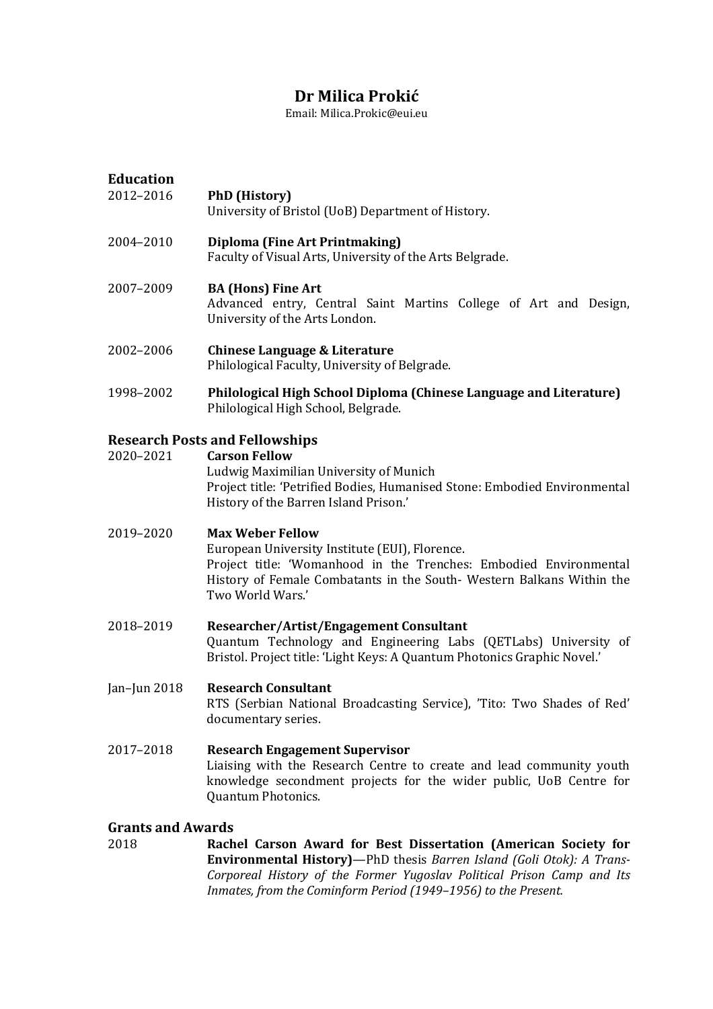# **Dr Milica Prokic**

Email: Milica.Prokic@eui.eu

| <b>Education</b><br>2012-2016 | <b>PhD</b> (History)<br>University of Bristol (UoB) Department of History.                                                                                                                                                                  |
|-------------------------------|---------------------------------------------------------------------------------------------------------------------------------------------------------------------------------------------------------------------------------------------|
| 2004-2010                     | Diploma (Fine Art Printmaking)<br>Faculty of Visual Arts, University of the Arts Belgrade.                                                                                                                                                  |
| 2007-2009                     | <b>BA (Hons) Fine Art</b><br>Advanced entry, Central Saint Martins College of Art and Design,<br>University of the Arts London.                                                                                                             |
| 2002-2006                     | <b>Chinese Language &amp; Literature</b><br>Philological Faculty, University of Belgrade.                                                                                                                                                   |
| 1998-2002                     | Philological High School Diploma (Chinese Language and Literature)<br>Philological High School, Belgrade.                                                                                                                                   |
|                               | <b>Research Posts and Fellowships</b>                                                                                                                                                                                                       |
| 2020-2021                     | <b>Carson Fellow</b><br>Ludwig Maximilian University of Munich<br>Project title: 'Petrified Bodies, Humanised Stone: Embodied Environmental<br>History of the Barren Island Prison.'                                                        |
| 2019-2020                     | <b>Max Weber Fellow</b><br>European University Institute (EUI), Florence.<br>Project title: 'Womanhood in the Trenches: Embodied Environmental<br>History of Female Combatants in the South- Western Balkans Within the<br>Two World Wars.' |
| 2018-2019                     | Researcher/Artist/Engagement Consultant<br>Quantum Technology and Engineering Labs (QETLabs) University of<br>Bristol. Project title: 'Light Keys: A Quantum Photonics Graphic Novel.'                                                      |
| Jan-Jun 2018                  | <b>Research Consultant</b><br>RTS (Serbian National Broadcasting Service), 'Tito: Two Shades of Red'<br>documentary series.                                                                                                                 |
| 2017-2018                     | <b>Research Engagement Supervisor</b><br>Liaising with the Research Centre to create and lead community youth<br>knowledge secondment projects for the wider public, UoB Centre for<br>Quantum Photonics.                                   |
| <b>Grants and Awards</b>      |                                                                                                                                                                                                                                             |

2018 **Rachel Carson Award for BestDissertation (American Society for** Corporeal History of the Former Yugoslav Political Prison Camp and Its *Inmates, from the Cominform Period (1949–1956) to the Present.*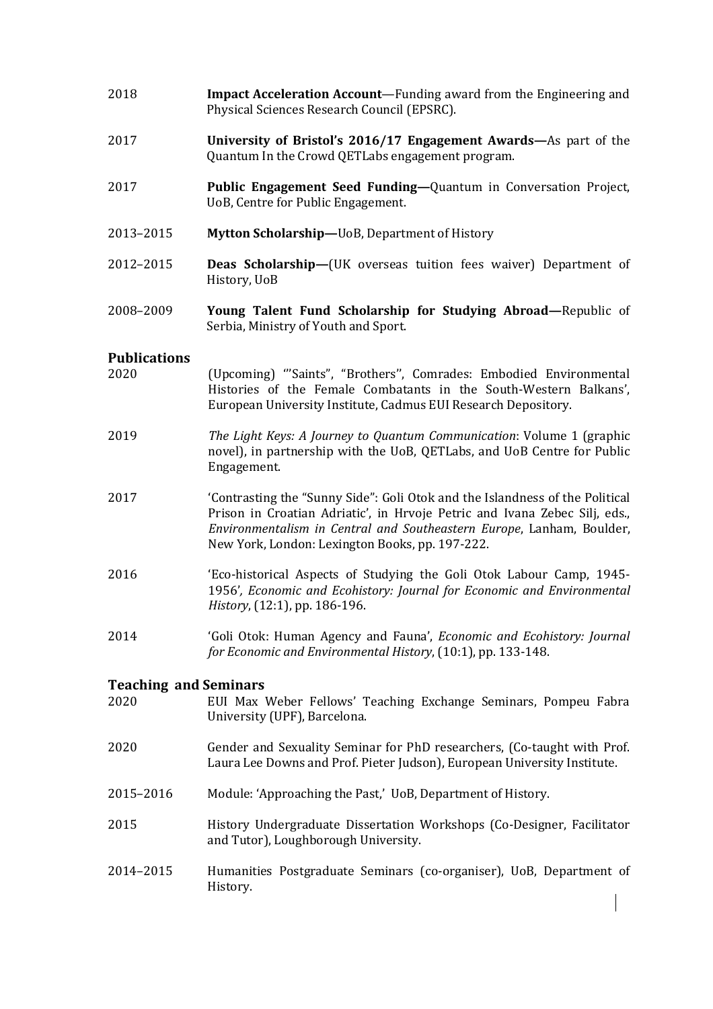- 2018 **Impact Acceleration Account**—Funding award from the Engineering and Physical Sciences Research Council (EPSRC).
- 2017 **University of Bristol's 2016/17 Engagement Awards—**As part of the Quantum In the Crowd QETLabs engagement program.
- 2017 **Public Engagement Seed Funding—**Quantum in Conversation Project, UoB, Centre for Public Engagement.
- 2013–2015 **Mytton Scholarship—**UoB, Department of History
- 2012–2015 **Deas Scholarship—**(UK overseas tuition fees waiver) Department of History, UoB
- 2008–2009 **Young Talent Fund Scholarship for Studying Abroad—**Republic of Serbia, Ministry of Youth and Sport.

## **Publications**

- 2020 (Upcoming) '''Saints", "Brothers'', Comrades: Embodied Environmental Histories of the Female Combatants in the South-Western Balkans', European University Institute, Cadmus EUI Research Depository.
- 2019 *The Light Keys: A Journey to Quantum Communication*: Volume 1 (graphic novel), in partnership with the UoB, QETLabs, and UoB Centre for Public Engagement.
- 2017 'Contrasting the "Sunny Side": Goli Otok and the Islandness of the Political Prison in Croatian Adriatic', in Hrvoje Petric and Ivana Zebec Silj, eds., *Environmentalism in Central and Southeastern Europe*, Lanham, Boulder, New York, London: Lexington Books, pp. 197-222.
- 2016 'Eco-historical Aspects of Studying the Goli Otok Labour Camp, 1945- 1956'*, Economic and Ecohistory: Journal for Economic and Environmental History*, (12:1), pp. 186-196.
- 2014 'Goli Otok: Human Agency and Fauna', *Economic and Ecohistory:Journal for Economic and Environmental History*, (10:1), pp. 133-148.

## **Teaching and Seminars**

- 2020 EUI Max Weber Fellows' Teaching Exchange Seminars, Pompeu Fabra University (UPF), Barcelona.
- 2020 Gender and Sexuality Seminar for PhD researchers, (Co-taught with Prof. Laura Lee Downs and Prof. Pieter Judson), European University Institute.
- 2015–2016 Module: 'Approaching the Past,' UoB, Department of History.
- 2015 History Undergraduate Dissertation Workshops (Co-Designer, Facilitator and Tutor), Loughborough University.
- 2014–2015 Humanities Postgraduate Seminars (co-organiser), UoB, Department of History.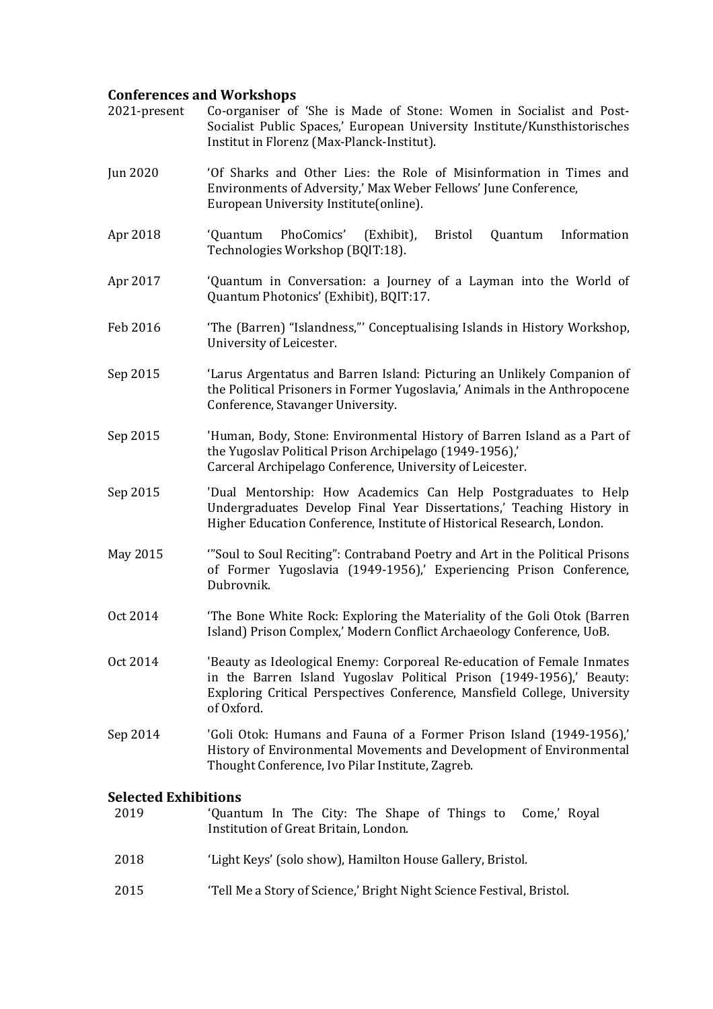## **Conferences and Workshops**

- 2021-present Co-organiser of 'She is Made of Stone: Women in Socialist and Post- Socialist Public Spaces,' European University Institute/[Kunsthistorisches](https://www.khi.fi.it/) Institut in Florenz ([Max-Planck-Institut\).](https://www.khi.fi.it/en/)
- Jun 2020 'Of Sharks and Other Lies: the Role of Misinformation in Times and Environments of Adversity,' Max Weber Fellows' June Conference, European University Institute(online).
- Apr 2018 'Quantum PhoComics' (Exhibit), Bristol Quantum Information Technologies Workshop (BQIT:18).
- Apr 2017 'Quantum in Conversation: a Journey of a Layman into the World of Quantum Photonics' (Exhibit), BQIT:17.
- Feb 2016 'The (Barren) "Islandness,"' Conceptualising Islands in History Workshop, University of Leicester.
- Sep 2015 'Larus Argentatus and Barren Island: Picturing an Unlikely Companion of the Political Prisoners in Former Yugoslavia,' Animals in the Anthropocene Conference, Stavanger University.
- Sep 2015 'Human, Body, Stone: Environmental History of Barren Island as a Partof the Yugoslav Political Prison Archipelago (1949-1956),' Carceral Archipelago Conference, University of Leicester.
- Sep 2015 'Dual Mentorship: How Academics Can Help Postgraduates to Help Undergraduates Develop Final Year Dissertations,' Teaching History in Higher Education Conference, Institute of Historical Research, London.
- May 2015 "Soul to Soul Reciting": Contraband Poetry and Art in the Political Prisons of Former Yugoslavia (1949-1956),' Experiencing Prison Conference, Dubrovnik.
- Oct 2014 'The Bone White Rock: Exploring the Materiality of the Goli Otok (Barren Island) Prison Complex,' Modern Conflict Archaeology Conference, UoB.
- Oct 2014 'Beauty as Ideological Enemy: Corporeal Re-education of Female Inmates in the Barren Island Yugoslav Political Prison (1949-1956),' Beauty: Exploring Critical Perspectives Conference, Mansfield College, University of Oxford.
- Sep 2014 'Goli Otok: Humans and Fauna of a Former Prison Island (1949-1956),'<br>History of Environmental Movements and Development of Environmental Thought Conference, Ivo Pilar Institute, Zagreb.

## **Selected Exhibitions**

| 2019 | 'Quantum In The City: The Shape of Things to Come,' Royal<br>Institution of Great Britain, London. |
|------|----------------------------------------------------------------------------------------------------|
| 2018 | 'Light Keys' (solo show), Hamilton House Gallery, Bristol.                                         |
| 2015 | 'Tell Me a Story of Science,' Bright Night Science Festival, Bristol.                              |